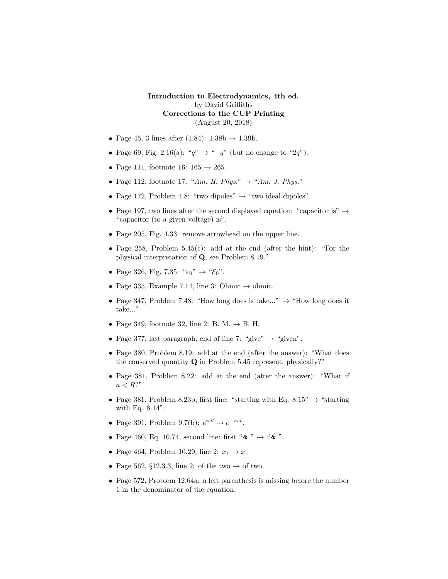Introduction to Electrodynamics, 4th ed. by David Griffiths Corrections to the CUP Printing (August 20, 2018)

- Page 45, 3 lines after (1.84):  $1.38b \rightarrow 1.39b$ .
- Page 69, Fig. 2.16(a): " $q$ " → "- $q$ " (but no change to "2 $q$ ").
- Page 111, footnote 16:  $165 \rightarrow 265$ .
- Page 112, footnote 17: "Am. H. Phys."  $\rightarrow$  "Am. J. Phys."
- Page 172, Problem 4.8: "two dipoles"  $\rightarrow$  "two ideal dipoles".
- Page 197, two lines after the second displayed equation: "capacitor is"  $\rightarrow$ "capacitor (to a given voltage) is".
- Page 205, Fig. 4.33: remove arrowhead on the upper line.
- Page 258, Problem 5.45(c): add at the end (after the hint): "For the physical interpretation of Q, see Problem 8.19."
- Page 326, Fig. 7.35: " $\varepsilon_0$ "  $\rightarrow$  " $\mathcal{E}_0$ ".
- Page 335, Example 7.14, line 3: Ohmic  $\rightarrow$  ohmic.
- Page 347, Problem 7.48: "How long does is take..."  $\rightarrow$  "How long does it take..."
- Page 349, footnote 32, line 2: B. M.  $\rightarrow$  B. H.
- Page 377, last paragraph, end of line 7: "give"  $\rightarrow$  "given".
- Page 380, Problem 8.19: add at the end (after the answer): "What does the conserved quantity Q in Problem 5.45 represent, physically?"
- Page 381, Problem 8.22: add at the end (after the answer): "What if  $a < R$ ?"
- Page 381, Problem 8.23b, first line: "starting with Eq. 8.15"  $\rightarrow$  "starting with Eq. 8.14".
- Page 391, Problem 9.7(b):  $e^{i\omega t} \rightarrow e^{-i\omega t}$ .
- Page 460, Eq. 10.74, second line: first " $\lambda$ "  $\rightarrow$  " $\lambda$ ".
- Page 464, Problem 10.29, line 2:  $x_1 \rightarrow x$ .
- Page 562, §12.3.3, line 2: of the two  $\rightarrow$  of two.
- Page 572, Problem 12.64a: a left parenthesis is missing before the number 1 in the denominator of the equation.